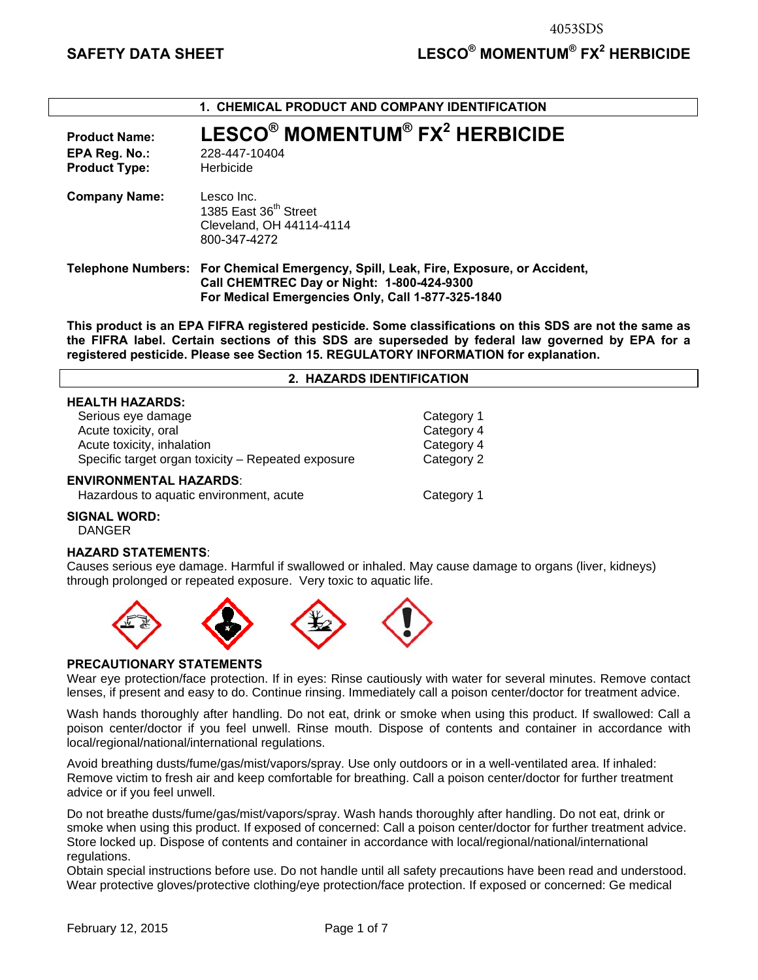| 1. CHEMICAL PRODUCT AND COMPANY IDENTIFICATION                |                                                                                                                                                                                         |  |  |  |
|---------------------------------------------------------------|-----------------------------------------------------------------------------------------------------------------------------------------------------------------------------------------|--|--|--|
| <b>Product Name:</b><br>EPA Reg. No.:<br><b>Product Type:</b> | LESCO <sup>®</sup> MOMENTUM <sup>®</sup> FX <sup>2</sup> HERBICIDE<br>228-447-10404<br>Herbicide                                                                                        |  |  |  |
| <b>Company Name:</b>                                          | Lesco Inc.<br>1385 East 36 <sup>th</sup> Street<br>Cleveland, OH 44114-4114<br>800-347-4272                                                                                             |  |  |  |
|                                                               | Telephone Numbers: For Chemical Emergency, Spill, Leak, Fire, Exposure, or Accident,<br>Call CHEMTREC Day or Night: 1-800-424-9300<br>For Medical Emergencies Only, Call 1-877-325-1840 |  |  |  |

**This product is an EPA FIFRA registered pesticide. Some classifications on this SDS are not the same as the FIFRA label. Certain sections of this SDS are superseded by federal law governed by EPA for a registered pesticide. Please see Section 15. REGULATORY INFORMATION for explanation.**

# **2. HAZARDS IDENTIFICATION**

| <b>HEALTH HAZARDS:</b>                             |            |
|----------------------------------------------------|------------|
| Serious eye damage                                 | Category 1 |
| Acute toxicity, oral                               | Category 4 |
| Acute toxicity, inhalation                         | Category 4 |
| Specific target organ toxicity - Repeated exposure | Category 2 |
| <b>ENVIRONMENTAL HAZARDS:</b>                      |            |
| Hazardous to aquatic environment, acute            | Category 1 |

# **SIGNAL WORD:**

DANGER

# **HAZARD STATEMENTS**:

Causes serious eye damage. Harmful if swallowed or inhaled. May cause damage to organs (liver, kidneys) through prolonged or repeated exposure. Very toxic to aquatic life.



### **PRECAUTIONARY STATEMENTS**

Wear eye protection/face protection. If in eyes: Rinse cautiously with water for several minutes. Remove contact lenses, if present and easy to do. Continue rinsing. Immediately call a poison center/doctor for treatment advice.

Wash hands thoroughly after handling. Do not eat, drink or smoke when using this product. If swallowed: Call a poison center/doctor if you feel unwell. Rinse mouth. Dispose of contents and container in accordance with local/regional/national/international regulations.

Avoid breathing dusts/fume/gas/mist/vapors/spray. Use only outdoors or in a well-ventilated area. If inhaled: Remove victim to fresh air and keep comfortable for breathing. Call a poison center/doctor for further treatment advice or if you feel unwell.

Do not breathe dusts/fume/gas/mist/vapors/spray. Wash hands thoroughly after handling. Do not eat, drink or smoke when using this product. If exposed of concerned: Call a poison center/doctor for further treatment advice. Store locked up. Dispose of contents and container in accordance with local/regional/national/international regulations.

Obtain special instructions before use. Do not handle until all safety precautions have been read and understood. Wear protective gloves/protective clothing/eye protection/face protection. If exposed or concerned: Ge medical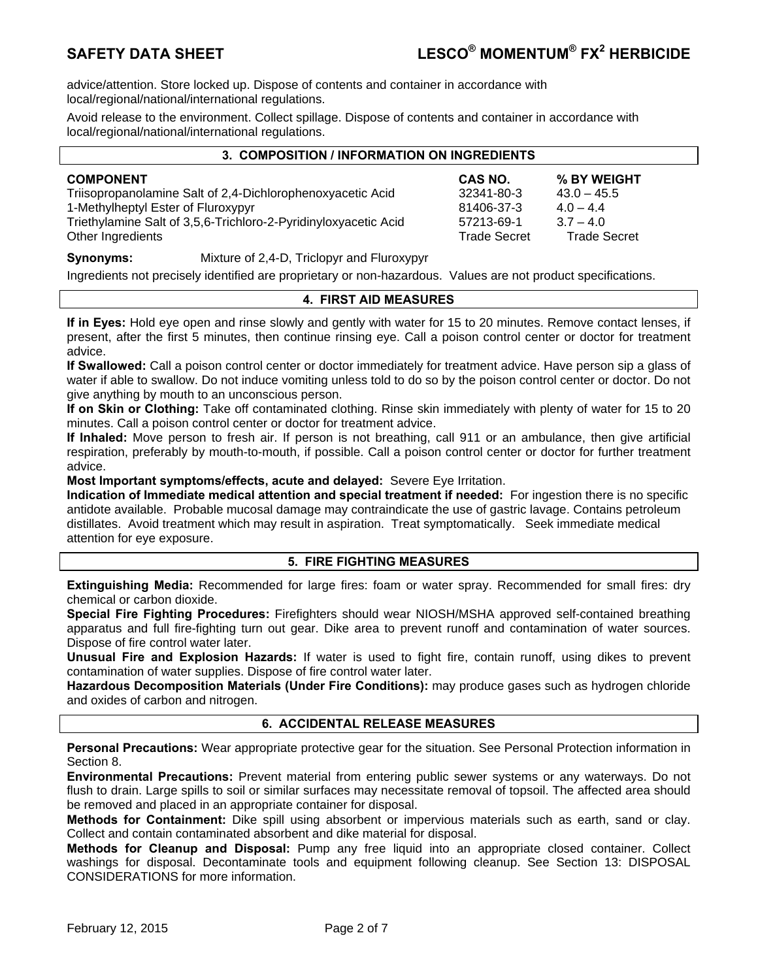advice/attention. Store locked up. Dispose of contents and container in accordance with local/regional/national/international regulations.

Avoid release to the environment. Collect spillage. Dispose of contents and container in accordance with local/regional/national/international regulations.

| 3. COMPOSITION / INFORMATION ON INGREDIENTS                     |                     |                     |  |  |
|-----------------------------------------------------------------|---------------------|---------------------|--|--|
| <b>COMPONENT</b>                                                | CAS NO.             | % BY WEIGHT         |  |  |
| Triisopropanolamine Salt of 2,4-Dichlorophenoxyacetic Acid      | 32341-80-3          | $43.0 - 45.5$       |  |  |
| 1-Methylheptyl Ester of Fluroxypyr                              | 81406-37-3          | $4.0 - 4.4$         |  |  |
| Triethylamine Salt of 3,5,6-Trichloro-2-Pyridinyloxyacetic Acid | 57213-69-1          | $3.7 - 4.0$         |  |  |
| Other Ingredients                                               | <b>Trade Secret</b> | <b>Trade Secret</b> |  |  |
|                                                                 |                     |                     |  |  |

# **Synonyms:** Mixture of 2,4-D, Triclopyr and Fluroxypyr

Ingredients not precisely identified are proprietary or non-hazardous. Values are not product specifications.

# **4. FIRST AID MEASURES**

**If in Eyes:** Hold eye open and rinse slowly and gently with water for 15 to 20 minutes. Remove contact lenses, if present, after the first 5 minutes, then continue rinsing eye. Call a poison control center or doctor for treatment advice.

**If Swallowed:** Call a poison control center or doctor immediately for treatment advice. Have person sip a glass of water if able to swallow. Do not induce vomiting unless told to do so by the poison control center or doctor. Do not give anything by mouth to an unconscious person.

**If on Skin or Clothing:** Take off contaminated clothing. Rinse skin immediately with plenty of water for 15 to 20 minutes. Call a poison control center or doctor for treatment advice.

**If Inhaled:** Move person to fresh air. If person is not breathing, call 911 or an ambulance, then give artificial respiration, preferably by mouth-to-mouth, if possible. Call a poison control center or doctor for further treatment advice.

**Most Important symptoms/effects, acute and delayed:** Severe Eye Irritation.

**Indication of Immediate medical attention and special treatment if needed:** For ingestion there is no specific antidote available. Probable mucosal damage may contraindicate the use of gastric lavage. Contains petroleum distillates. Avoid treatment which may result in aspiration. Treat symptomatically. Seek immediate medical attention for eye exposure.

# **5. FIRE FIGHTING MEASURES**

**Extinguishing Media:** Recommended for large fires: foam or water spray. Recommended for small fires: dry chemical or carbon dioxide.

**Special Fire Fighting Procedures:** Firefighters should wear NIOSH/MSHA approved self-contained breathing apparatus and full fire-fighting turn out gear. Dike area to prevent runoff and contamination of water sources. Dispose of fire control water later.

**Unusual Fire and Explosion Hazards:** If water is used to fight fire, contain runoff, using dikes to prevent contamination of water supplies. Dispose of fire control water later.

**Hazardous Decomposition Materials (Under Fire Conditions):** may produce gases such as hydrogen chloride and oxides of carbon and nitrogen.

# **6. ACCIDENTAL RELEASE MEASURES**

**Personal Precautions:** Wear appropriate protective gear for the situation. See Personal Protection information in Section 8.

**Environmental Precautions:** Prevent material from entering public sewer systems or any waterways. Do not flush to drain. Large spills to soil or similar surfaces may necessitate removal of topsoil. The affected area should be removed and placed in an appropriate container for disposal.

**Methods for Containment:** Dike spill using absorbent or impervious materials such as earth, sand or clay. Collect and contain contaminated absorbent and dike material for disposal.

**Methods for Cleanup and Disposal:** Pump any free liquid into an appropriate closed container. Collect washings for disposal. Decontaminate tools and equipment following cleanup. See Section 13: DISPOSAL CONSIDERATIONS for more information.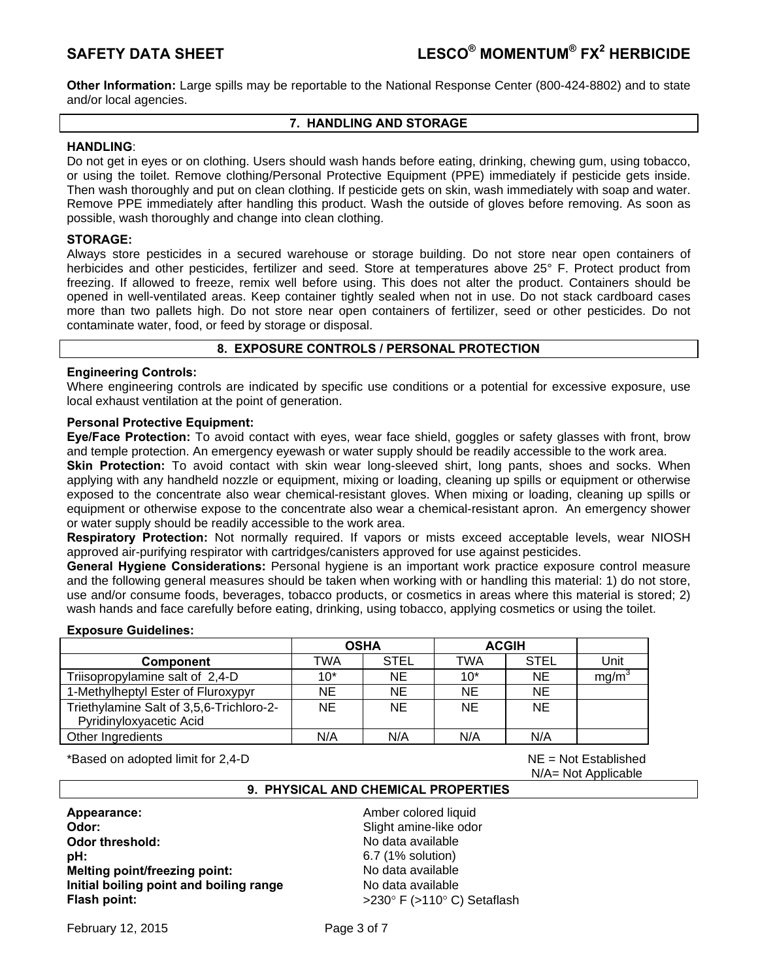**Other Information:** Large spills may be reportable to the National Response Center (800-424-8802) and to state and/or local agencies.

# **7. HANDLING AND STORAGE**

# **HANDLING**:

Do not get in eyes or on clothing. Users should wash hands before eating, drinking, chewing gum, using tobacco, or using the toilet. Remove clothing/Personal Protective Equipment (PPE) immediately if pesticide gets inside. Then wash thoroughly and put on clean clothing. If pesticide gets on skin, wash immediately with soap and water. Remove PPE immediately after handling this product. Wash the outside of gloves before removing. As soon as possible, wash thoroughly and change into clean clothing.

# **STORAGE:**

Always store pesticides in a secured warehouse or storage building. Do not store near open containers of herbicides and other pesticides, fertilizer and seed. Store at temperatures above 25° F. Protect product from freezing. If allowed to freeze, remix well before using. This does not alter the product. Containers should be opened in well-ventilated areas. Keep container tightly sealed when not in use. Do not stack cardboard cases more than two pallets high. Do not store near open containers of fertilizer, seed or other pesticides. Do not contaminate water, food, or feed by storage or disposal.

# **8. EXPOSURE CONTROLS / PERSONAL PROTECTION**

# **Engineering Controls:**

Where engineering controls are indicated by specific use conditions or a potential for excessive exposure, use local exhaust ventilation at the point of generation.

# **Personal Protective Equipment:**

**Eye/Face Protection:** To avoid contact with eyes, wear face shield, goggles or safety glasses with front, brow and temple protection. An emergency eyewash or water supply should be readily accessible to the work area.

**Skin Protection:** To avoid contact with skin wear long-sleeved shirt, long pants, shoes and socks. When applying with any handheld nozzle or equipment, mixing or loading, cleaning up spills or equipment or otherwise exposed to the concentrate also wear chemical-resistant gloves. When mixing or loading, cleaning up spills or equipment or otherwise expose to the concentrate also wear a chemical-resistant apron. An emergency shower or water supply should be readily accessible to the work area.

**Respiratory Protection:** Not normally required. If vapors or mists exceed acceptable levels, wear NIOSH approved air-purifying respirator with cartridges/canisters approved for use against pesticides.

**General Hygiene Considerations:** Personal hygiene is an important work practice exposure control measure and the following general measures should be taken when working with or handling this material: 1) do not store, use and/or consume foods, beverages, tobacco products, or cosmetics in areas where this material is stored; 2) wash hands and face carefully before eating, drinking, using tobacco, applying cosmetics or using the toilet.

# **Exposure Guidelines:**

|                                          | <b>OSHA</b> |             | <b>ACGIH</b> |             |                   |
|------------------------------------------|-------------|-------------|--------------|-------------|-------------------|
| <b>Component</b>                         | TWA         | <b>STEL</b> | TWA          | <b>STEL</b> | Unit              |
| Triisopropylamine salt of 2,4-D          | $10*$       | <b>NE</b>   | $10*$        | <b>NE</b>   | mg/m <sup>3</sup> |
| 1-Methylheptyl Ester of Fluroxypyr       | NE.         | <b>NE</b>   | <b>NE</b>    | <b>NE</b>   |                   |
| Triethylamine Salt of 3,5,6-Trichloro-2- | NE.         | <b>NE</b>   | <b>NE</b>    | <b>NE</b>   |                   |
| Pyridinyloxyacetic Acid                  |             |             |              |             |                   |
| Other Ingredients                        | N/A         | N/A         | N/A          | N/A         |                   |

\*Based on adopted limit for 2,4-D NE = Not Established

N/A= Not Applicable

# **9. PHYSICAL AND CHEMICAL PROPERTIES**

**Appearance: Amber colored liquid Amber colored liquid Odor: Contract and Contract and Contract amine-like odor Contract and Contract amine-like odor Odor threshold: No data available No data available pH: bH: bH: bH: bH: bH: bH: bH: bH: bH: bH: bH: bH: bH: b Melting point/freezing point:** No data available **Initial boiling point and boiling range Modata available Flash point:**  $>230^{\circ}$  F (>110° C) Setaflash

February 12, 2015 **Page 3 of 7**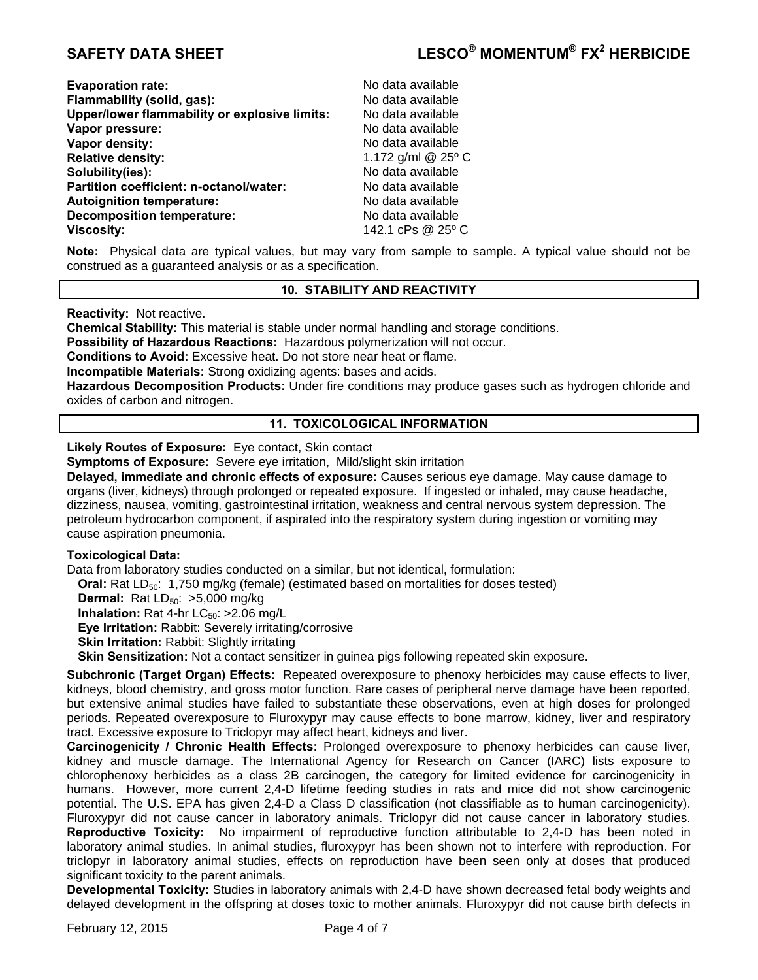| <b>Evaporation rate:</b>                             | No data available  |
|------------------------------------------------------|--------------------|
| Flammability (solid, gas):                           | No data available  |
| <b>Upper/lower flammability or explosive limits:</b> | No data available  |
| Vapor pressure:                                      | No data available  |
| Vapor density:                                       | No data available  |
| <b>Relative density:</b>                             | 1.172 g/ml @ 25° C |
| Solubility(ies):                                     | No data available  |
| Partition coefficient: n-octanol/water:              | No data available  |
| <b>Autoignition temperature:</b>                     | No data available  |
| <b>Decomposition temperature:</b>                    | No data available  |
| Viscosity:                                           | 142.1 cPs @ 25° C  |

**Note:** Physical data are typical values, but may vary from sample to sample. A typical value should not be construed as a guaranteed analysis or as a specification.

# **10. STABILITY AND REACTIVITY**

**Reactivity:** Not reactive.

**Chemical Stability:** This material is stable under normal handling and storage conditions.

**Possibility of Hazardous Reactions:** Hazardous polymerization will not occur.

**Conditions to Avoid:** Excessive heat. Do not store near heat or flame.

**Incompatible Materials:** Strong oxidizing agents: bases and acids.

**Hazardous Decomposition Products:** Under fire conditions may produce gases such as hydrogen chloride and oxides of carbon and nitrogen.

# **11. TOXICOLOGICAL INFORMATION**

**Likely Routes of Exposure:** Eye contact, Skin contact

**Symptoms of Exposure:** Severe eye irritation, Mild/slight skin irritation

**Delayed, immediate and chronic effects of exposure:** Causes serious eye damage. May cause damage to organs (liver, kidneys) through prolonged or repeated exposure. If ingested or inhaled, may cause headache, dizziness, nausea, vomiting, gastrointestinal irritation, weakness and central nervous system depression. The petroleum hydrocarbon component, if aspirated into the respiratory system during ingestion or vomiting may cause aspiration pneumonia.

# **Toxicological Data:**

Data from laboratory studies conducted on a similar, but not identical, formulation:

**Oral:** Rat LD<sub>50</sub>: 1,750 mg/kg (female) (estimated based on mortalities for doses tested)

**Dermal:** Rat LD<sub>50</sub>: >5,000 mg/kg

**Inhalation:** Rat 4-hr  $LC_{50}$ :  $>2.06$  mg/L

**Eye Irritation:** Rabbit: Severely irritating/corrosive

**Skin Irritation: Rabbit: Slightly irritating** 

**Skin Sensitization:** Not a contact sensitizer in guinea pigs following repeated skin exposure.

**Subchronic (Target Organ) Effects:** Repeated overexposure to phenoxy herbicides may cause effects to liver, kidneys, blood chemistry, and gross motor function. Rare cases of peripheral nerve damage have been reported, but extensive animal studies have failed to substantiate these observations, even at high doses for prolonged periods. Repeated overexposure to Fluroxypyr may cause effects to bone marrow, kidney, liver and respiratory tract. Excessive exposure to Triclopyr may affect heart, kidneys and liver.

**Carcinogenicity / Chronic Health Effects:** Prolonged overexposure to phenoxy herbicides can cause liver, kidney and muscle damage. The International Agency for Research on Cancer (IARC) lists exposure to chlorophenoxy herbicides as a class 2B carcinogen, the category for limited evidence for carcinogenicity in humans. However, more current 2,4-D lifetime feeding studies in rats and mice did not show carcinogenic potential. The U.S. EPA has given 2,4-D a Class D classification (not classifiable as to human carcinogenicity). Fluroxypyr did not cause cancer in laboratory animals. Triclopyr did not cause cancer in laboratory studies. **Reproductive Toxicity:** No impairment of reproductive function attributable to 2,4-D has been noted in laboratory animal studies. In animal studies, fluroxypyr has been shown not to interfere with reproduction. For triclopyr in laboratory animal studies, effects on reproduction have been seen only at doses that produced significant toxicity to the parent animals.

**Developmental Toxicity:** Studies in laboratory animals with 2,4-D have shown decreased fetal body weights and delayed development in the offspring at doses toxic to mother animals. Fluroxypyr did not cause birth defects in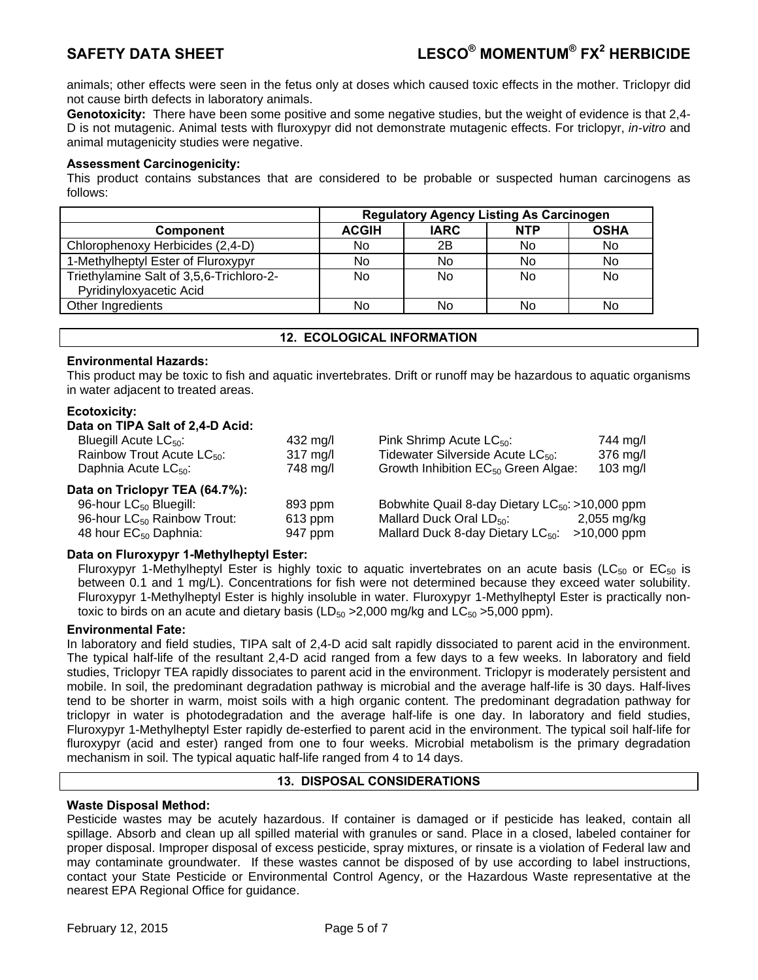animals; other effects were seen in the fetus only at doses which caused toxic effects in the mother. Triclopyr did not cause birth defects in laboratory animals.

**Genotoxicity:** There have been some positive and some negative studies, but the weight of evidence is that 2,4- D is not mutagenic. Animal tests with fluroxypyr did not demonstrate mutagenic effects. For triclopyr, *in-vitro* and animal mutagenicity studies were negative.

# **Assessment Carcinogenicity:**

This product contains substances that are considered to be probable or suspected human carcinogens as follows:

|                                          | <b>Regulatory Agency Listing As Carcinogen</b> |             |                |             |  |
|------------------------------------------|------------------------------------------------|-------------|----------------|-------------|--|
| <b>Component</b>                         | <b>ACGIH</b>                                   | <b>IARC</b> | <b>NTP</b>     | <b>OSHA</b> |  |
| Chlorophenoxy Herbicides (2,4-D)         | No.                                            | 2Β          | N <sub>0</sub> | No          |  |
| 1-Methylheptyl Ester of Fluroxypyr       | No                                             | No          | N <sub>0</sub> | No          |  |
| Triethylamine Salt of 3,5,6-Trichloro-2- | No                                             | No          | <b>No</b>      | No          |  |
| Pyridinyloxyacetic Acid                  |                                                |             |                |             |  |
| Other Ingredients                        | No                                             | No          | No             | No          |  |

### **12. ECOLOGICAL INFORMATION**

# **Environmental Hazards:**

This product may be toxic to fish and aquatic invertebrates. Drift or runoff may be hazardous to aquatic organisms in water adjacent to treated areas.

# **Ecotoxicity:**

### **Data on TIPA Salt of 2,4-D Acid:**

| Bluegill Acute $LC_{50}$ :              | 432 mg/l           | Pink Shrimp Acute $LC_{50}$ :                        | 744 mg/l      |
|-----------------------------------------|--------------------|------------------------------------------------------|---------------|
| Rainbow Trout Acute LC <sub>50</sub> :  | $317 \text{ mg/l}$ | Tidewater Silverside Acute LC <sub>50</sub> :        | 376 mg/l      |
| Daphnia Acute LC <sub>50</sub> :        | 748 mg/l           | Growth Inhibition EC <sub>50</sub> Green Algae:      | $103$ mg/l    |
| Data on Triclopyr TEA (64.7%):          |                    |                                                      |               |
| 96-hour LC <sub>50</sub> Bluegill:      | 893 ppm            | Bobwhite Quail 8-day Dietary $LC_{50}$ : >10,000 ppm |               |
| 96-hour LC <sub>50</sub> Rainbow Trout: | $613$ ppm          | Mallard Duck Oral $LD_{50}$ :                        | $2,055$ mg/kg |
| 48 hour EC <sub>50</sub> Daphnia:       | 947 ppm            | Mallard Duck 8-day Dietary LC <sub>50</sub> :        | >10,000 ppm   |

# **Data on Fluroxypyr 1-Methylheptyl Ester:**

Fluroxypyr 1-Methylheptyl Ester is highly toxic to aquatic invertebrates on an acute basis (LC $_{50}$  or EC $_{50}$  is between 0.1 and 1 mg/L). Concentrations for fish were not determined because they exceed water solubility. Fluroxypyr 1-Methylheptyl Ester is highly insoluble in water. Fluroxypyr 1-Methylheptyl Ester is practically nontoxic to birds on an acute and dietary basis ( $LD_{50} > 2,000$  mg/kg and  $LC_{50} > 5,000$  ppm).

### **Environmental Fate:**

In laboratory and field studies, TIPA salt of 2,4-D acid salt rapidly dissociated to parent acid in the environment. The typical half-life of the resultant 2,4-D acid ranged from a few days to a few weeks. In laboratory and field studies, Triclopyr TEA rapidly dissociates to parent acid in the environment. Triclopyr is moderately persistent and mobile. In soil, the predominant degradation pathway is microbial and the average half-life is 30 days. Half-lives tend to be shorter in warm, moist soils with a high organic content. The predominant degradation pathway for triclopyr in water is photodegradation and the average half-life is one day. In laboratory and field studies, Fluroxypyr 1-Methylheptyl Ester rapidly de-esterfied to parent acid in the environment. The typical soil half-life for fluroxypyr (acid and ester) ranged from one to four weeks. Microbial metabolism is the primary degradation mechanism in soil. The typical aquatic half-life ranged from 4 to 14 days.

### **13. DISPOSAL CONSIDERATIONS**

# **Waste Disposal Method:**

Pesticide wastes may be acutely hazardous. If container is damaged or if pesticide has leaked, contain all spillage. Absorb and clean up all spilled material with granules or sand. Place in a closed, labeled container for proper disposal. Improper disposal of excess pesticide, spray mixtures, or rinsate is a violation of Federal law and may contaminate groundwater. If these wastes cannot be disposed of by use according to label instructions, contact your State Pesticide or Environmental Control Agency, or the Hazardous Waste representative at the nearest EPA Regional Office for guidance.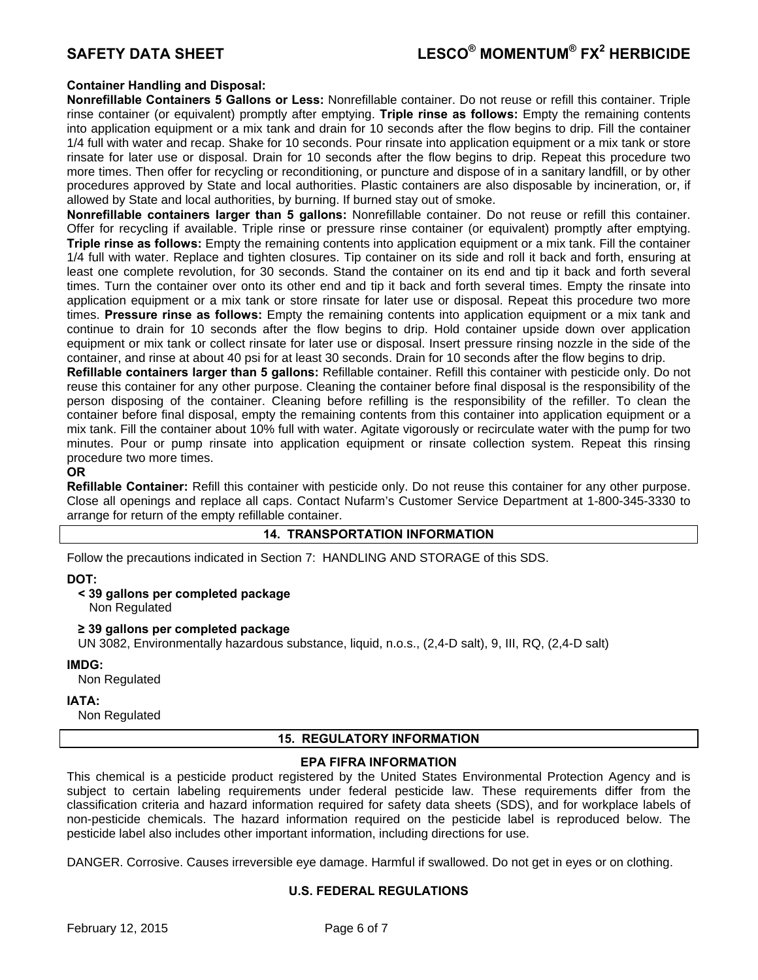# **Container Handling and Disposal:**

**Nonrefillable Containers 5 Gallons or Less:** Nonrefillable container. Do not reuse or refill this container. Triple rinse container (or equivalent) promptly after emptying. **Triple rinse as follows:** Empty the remaining contents into application equipment or a mix tank and drain for 10 seconds after the flow begins to drip. Fill the container 1/4 full with water and recap. Shake for 10 seconds. Pour rinsate into application equipment or a mix tank or store rinsate for later use or disposal. Drain for 10 seconds after the flow begins to drip. Repeat this procedure two more times. Then offer for recycling or reconditioning, or puncture and dispose of in a sanitary landfill, or by other procedures approved by State and local authorities. Plastic containers are also disposable by incineration, or, if allowed by State and local authorities, by burning. If burned stay out of smoke.

**Nonrefillable containers larger than 5 gallons:** Nonrefillable container. Do not reuse or refill this container. Offer for recycling if available. Triple rinse or pressure rinse container (or equivalent) promptly after emptying. **Triple rinse as follows:** Empty the remaining contents into application equipment or a mix tank. Fill the container 1/4 full with water. Replace and tighten closures. Tip container on its side and roll it back and forth, ensuring at least one complete revolution, for 30 seconds. Stand the container on its end and tip it back and forth several times. Turn the container over onto its other end and tip it back and forth several times. Empty the rinsate into application equipment or a mix tank or store rinsate for later use or disposal. Repeat this procedure two more times. **Pressure rinse as follows:** Empty the remaining contents into application equipment or a mix tank and continue to drain for 10 seconds after the flow begins to drip. Hold container upside down over application equipment or mix tank or collect rinsate for later use or disposal. Insert pressure rinsing nozzle in the side of the container, and rinse at about 40 psi for at least 30 seconds. Drain for 10 seconds after the flow begins to drip.

**Refillable containers larger than 5 gallons:** Refillable container. Refill this container with pesticide only. Do not reuse this container for any other purpose. Cleaning the container before final disposal is the responsibility of the person disposing of the container. Cleaning before refilling is the responsibility of the refiller. To clean the container before final disposal, empty the remaining contents from this container into application equipment or a mix tank. Fill the container about 10% full with water. Agitate vigorously or recirculate water with the pump for two minutes. Pour or pump rinsate into application equipment or rinsate collection system. Repeat this rinsing procedure two more times.

# **OR**

**Refillable Container:** Refill this container with pesticide only. Do not reuse this container for any other purpose. Close all openings and replace all caps. Contact Nufarm's Customer Service Department at 1-800-345-3330 to arrange for return of the empty refillable container.

# **14. TRANSPORTATION INFORMATION**

Follow the precautions indicated in Section 7: HANDLING AND STORAGE of this SDS.

# **DOT:**

# **< 39 gallons per completed package**

Non Regulated

### **≥ 39 gallons per completed package**

UN 3082, Environmentally hazardous substance, liquid, n.o.s., (2,4-D salt), 9, III, RQ, (2,4-D salt)

### **IMDG:**

Non Regulated

# **IATA:**

Non Regulated

# **15. REGULATORY INFORMATION**

# **EPA FIFRA INFORMATION**

This chemical is a pesticide product registered by the United States Environmental Protection Agency and is subject to certain labeling requirements under federal pesticide law. These requirements differ from the classification criteria and hazard information required for safety data sheets (SDS), and for workplace labels of non-pesticide chemicals. The hazard information required on the pesticide label is reproduced below. The pesticide label also includes other important information, including directions for use.

DANGER. Corrosive. Causes irreversible eye damage. Harmful if swallowed. Do not get in eyes or on clothing.

# **U.S. FEDERAL REGULATIONS**